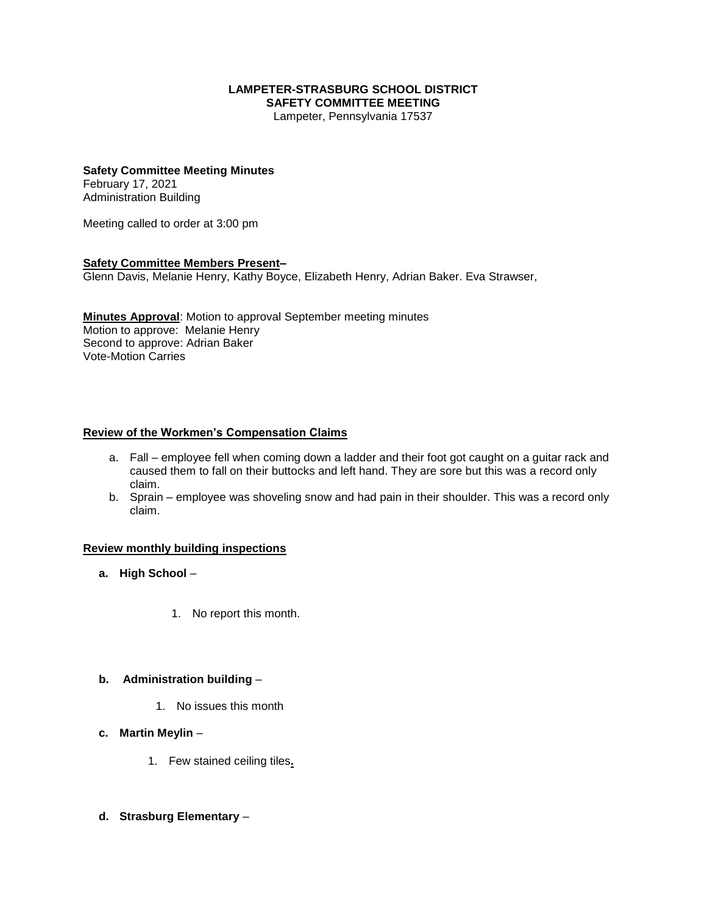#### **LAMPETER-STRASBURG SCHOOL DISTRICT SAFETY COMMITTEE MEETING**

Lampeter, Pennsylvania 17537

## **Safety Committee Meeting Minutes**

February 17, 2021 Administration Building

Meeting called to order at 3:00 pm

#### **Safety Committee Members Present–**

Glenn Davis, Melanie Henry, Kathy Boyce, Elizabeth Henry, Adrian Baker. Eva Strawser,

**Minutes Approval**: Motion to approval September meeting minutes Motion to approve: Melanie Henry Second to approve: Adrian Baker Vote-Motion Carries

## **Review of the Workmen's Compensation Claims**

- a. Fall employee fell when coming down a ladder and their foot got caught on a guitar rack and caused them to fall on their buttocks and left hand. They are sore but this was a record only claim.
- b. Sprain employee was shoveling snow and had pain in their shoulder. This was a record only claim.

#### **Review monthly building inspections**

- **a. High School**
	- 1. No report this month.

#### **b. Administration building** –

- 1. No issues this month
- **c. Martin Meylin**
	- 1. Few stained ceiling tiles**.**
- **d. Strasburg Elementary** –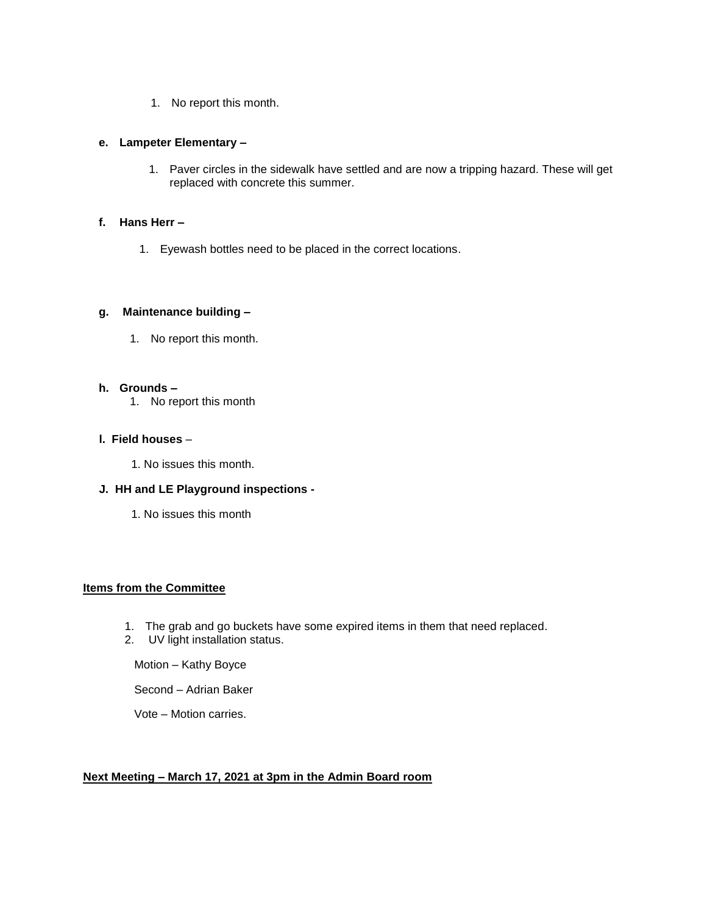1. No report this month.

### **e. Lampeter Elementary –**

1. Paver circles in the sidewalk have settled and are now a tripping hazard. These will get replaced with concrete this summer.

## **f. Hans Herr –**

1. Eyewash bottles need to be placed in the correct locations.

## **g. Maintenance building –**

1. No report this month.

#### **h. Grounds –**

1. No report this month

## **l. Field houses** –

1. No issues this month.

## **J. HH and LE Playground inspections -**

1. No issues this month

## **Items from the Committee**

- 1. The grab and go buckets have some expired items in them that need replaced.
- 2. UV light installation status.

Motion – Kathy Boyce

Second – Adrian Baker

Vote – Motion carries.

#### **Next Meeting – March 17, 2021 at 3pm in the Admin Board room**